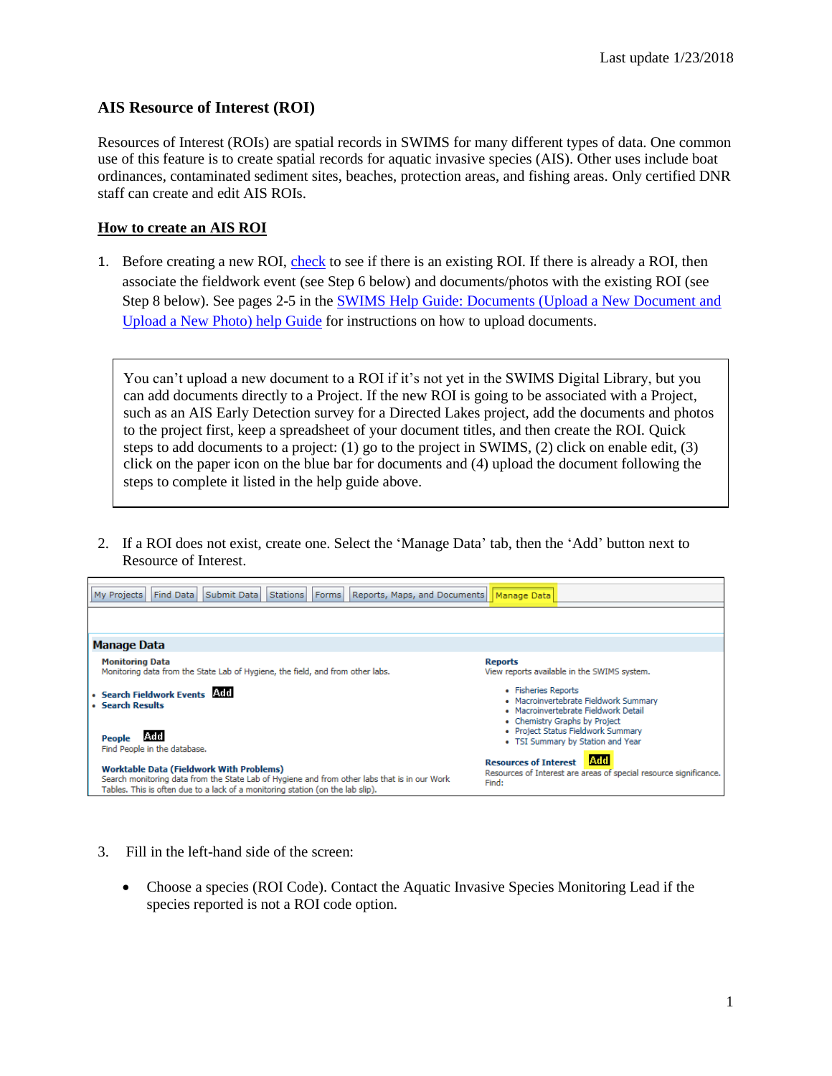## **AIS Resource of Interest (ROI)**

Resources of Interest (ROIs) are spatial records in SWIMS for many different types of data. One common use of this feature is to create spatial records for aquatic invasive species (AIS). Other uses include boat ordinances, contaminated sediment sites, beaches, protection areas, and fishing areas. Only certified DNR staff can create and edit AIS ROIs.

## **How to create an AIS ROI**

1. Before creating a new ROI, [check](https://dnrx.wisconsin.gov/swims/downloadDocument.do?id=126471317) to see if there is an existing ROI. If there is already a ROI, then associate the fieldwork event (see Step 6 below) and documents/photos with the existing ROI (see Step 8 below). See pages 2-5 in the [SWIMS Help Guide: Documents \(Upload a New Document and](http://dnr.wi.gov/water/wsSWIMSDocument.ashx?documentSeqNo=89209951)  [Upload a New](http://dnr.wi.gov/water/wsSWIMSDocument.ashx?documentSeqNo=89209951) Photo) help Guide for instructions on how to upload documents.

You can't upload a new document to a ROI if it's not yet in the SWIMS Digital Library, but you can add documents directly to a Project. If the new ROI is going to be associated with a Project, such as an AIS Early Detection survey for a Directed Lakes project, add the documents and photos to the project first, keep a spreadsheet of your document titles, and then create the ROI. Quick steps to add documents to a project: (1) go to the project in SWIMS, (2) click on enable edit, (3) click on the paper icon on the blue bar for documents and (4) upload the document following the steps to complete it listed in the help guide above.

2. If a ROI does not exist, create one. Select the 'Manage Data' tab, then the 'Add' button next to Resource of Interest.

| Submit Data<br>Find Data<br>Reports, Maps, and Documents<br><b>Stations</b><br>Forms<br>My Projects                                                                                                                               | Manage Data                                                                                                                           |
|-----------------------------------------------------------------------------------------------------------------------------------------------------------------------------------------------------------------------------------|---------------------------------------------------------------------------------------------------------------------------------------|
|                                                                                                                                                                                                                                   |                                                                                                                                       |
| <b>Manage Data</b>                                                                                                                                                                                                                |                                                                                                                                       |
| <b>Monitoring Data</b><br>Monitoring data from the State Lab of Hygiene, the field, and from other labs.                                                                                                                          | <b>Reports</b><br>View reports available in the SWIMS system.                                                                         |
| · Search Fieldwork Events Add<br>• Search Results                                                                                                                                                                                 | • Fisheries Reports<br>• Macroinvertebrate Fieldwork Summary<br>• Macroinvertebrate Fieldwork Detail<br>• Chemistry Graphs by Project |
| lAdd<br><b>People</b><br>Find People in the database.                                                                                                                                                                             | • Project Status Fieldwork Summary<br>• TSI Summary by Station and Year                                                               |
| <b>Worktable Data (Fieldwork With Problems)</b><br>Search monitoring data from the State Lab of Hygiene and from other labs that is in our Work<br>Tables. This is often due to a lack of a monitoring station (on the lab slip). | lAdd<br><b>Resources of Interest</b><br>Resources of Interest are areas of special resource significance.<br>Find:                    |

- 3. Fill in the left-hand side of the screen:
	- Choose a species (ROI Code). Contact the Aquatic Invasive Species Monitoring Lead if the species reported is not a ROI code option.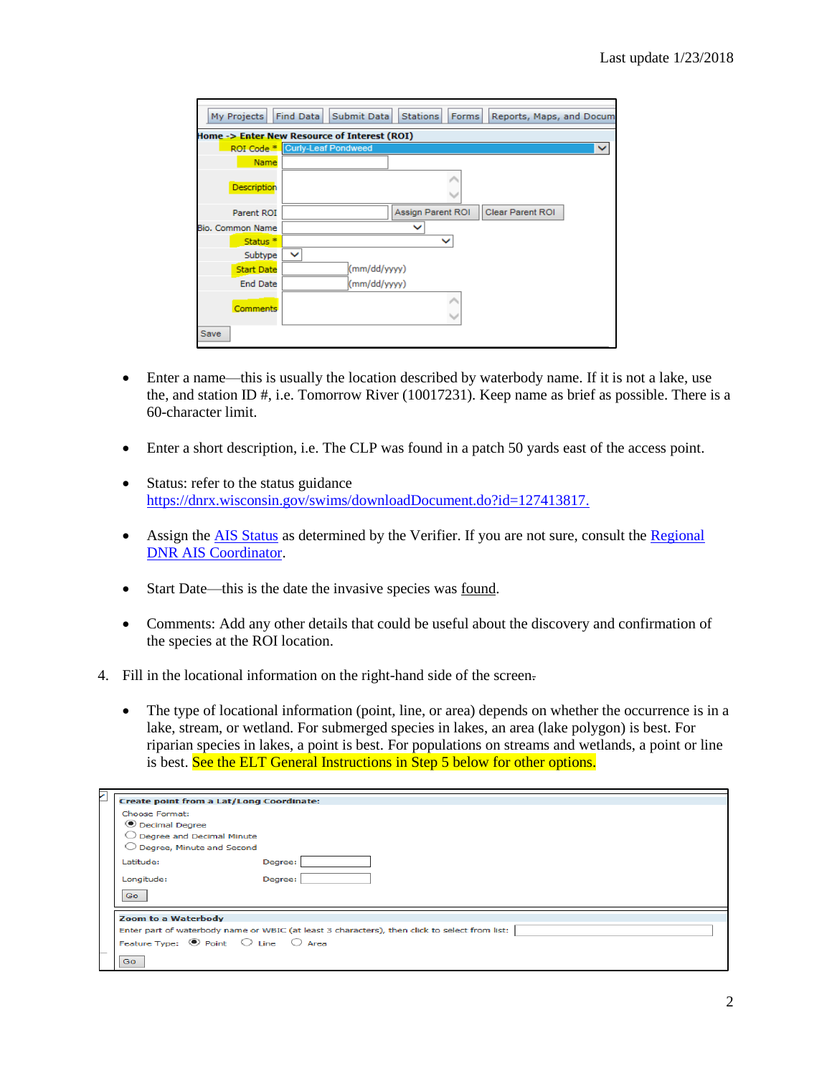| My Projects             | Find Data<br>Submit Data<br><b>Stations</b><br><b>Forms</b><br>Reports, Maps, and Docum |
|-------------------------|-----------------------------------------------------------------------------------------|
|                         | Home -> Enter New Resource of Interest (ROI)                                            |
|                         | ROI Code <sup>*</sup> Curly-Leaf Pondweed                                               |
| Name                    |                                                                                         |
| <b>Description</b>      |                                                                                         |
| Parent ROI              | <b>Assign Parent ROI</b><br><b>Clear Parent ROI</b>                                     |
| <b>Bio. Common Name</b> | v                                                                                       |
| Status <sup>*</sup>     | $\checkmark$                                                                            |
| Subtype                 | v                                                                                       |
| <b>Start Date</b>       | (mm/dd/yyyy)                                                                            |
| <b>End Date</b>         | (mm/dd/yyyy)                                                                            |
| Comments                |                                                                                         |
| <b>Save</b>             |                                                                                         |

- Enter a name—this is usually the location described by waterbody name. If it is not a lake, use the, and station ID #, i.e. Tomorrow River (10017231). Keep name as brief as possible. There is a 60-character limit.
- Enter a short description, i.e. The CLP was found in a patch 50 yards east of the access point.
- Status: refer to the status guidance [https://dnrx.wisconsin.gov/swims/downloadDocument.do?id=127413817.](https://dnrx.wisconsin.gov/swims/downloadDocument.do?id=127413817)
- Assign the [AIS Status](https://dnrx.wisconsin.gov/swims/downloadDocument.do?id=127413817) as determined by the Verifier. If you are not sure, consult the Regional [DNR AIS Coordinator.](http://dnr.wi.gov/lakes/invasives/Contacts.aspx?role=AIS_RE_COORD)
- Start Date—this is the date the invasive species was found.
- Comments: Add any other details that could be useful about the discovery and confirmation of the species at the ROI location.
- 4. Fill in the locational information on the right-hand side of the screen.
	- The type of locational information (point, line, or area) depends on whether the occurrence is in a lake, stream, or wetland. For submerged species in lakes, an area (lake polygon) is best. For riparian species in lakes, a point is best. For populations on streams and wetlands, a point or line is best. See the ELT General Instructions in Step 5 below for other options.

| ٨ | <b>Create point from a Lat/Long Coordinate:</b> |                                                                                               |
|---|-------------------------------------------------|-----------------------------------------------------------------------------------------------|
|   | Choose Format:                                  |                                                                                               |
|   | <b>O</b> Decimal Degree                         |                                                                                               |
|   | $\bigcirc$ Degree and Decimal Minute            |                                                                                               |
|   | $\bigcirc$ Degree, Minute and Second            |                                                                                               |
|   | Latitude:                                       | Degree:                                                                                       |
|   | Longitude:                                      | Degree:                                                                                       |
|   | Go                                              |                                                                                               |
|   | <b>Zoom to a Waterbody</b>                      |                                                                                               |
|   |                                                 |                                                                                               |
|   |                                                 | Enter part of waterbody name or WBIC (at least 3 characters), then click to select from list: |
|   | Feature Type: <sup>●</sup> Point ○ Line ○ Area  |                                                                                               |
|   | Go                                              |                                                                                               |
|   |                                                 |                                                                                               |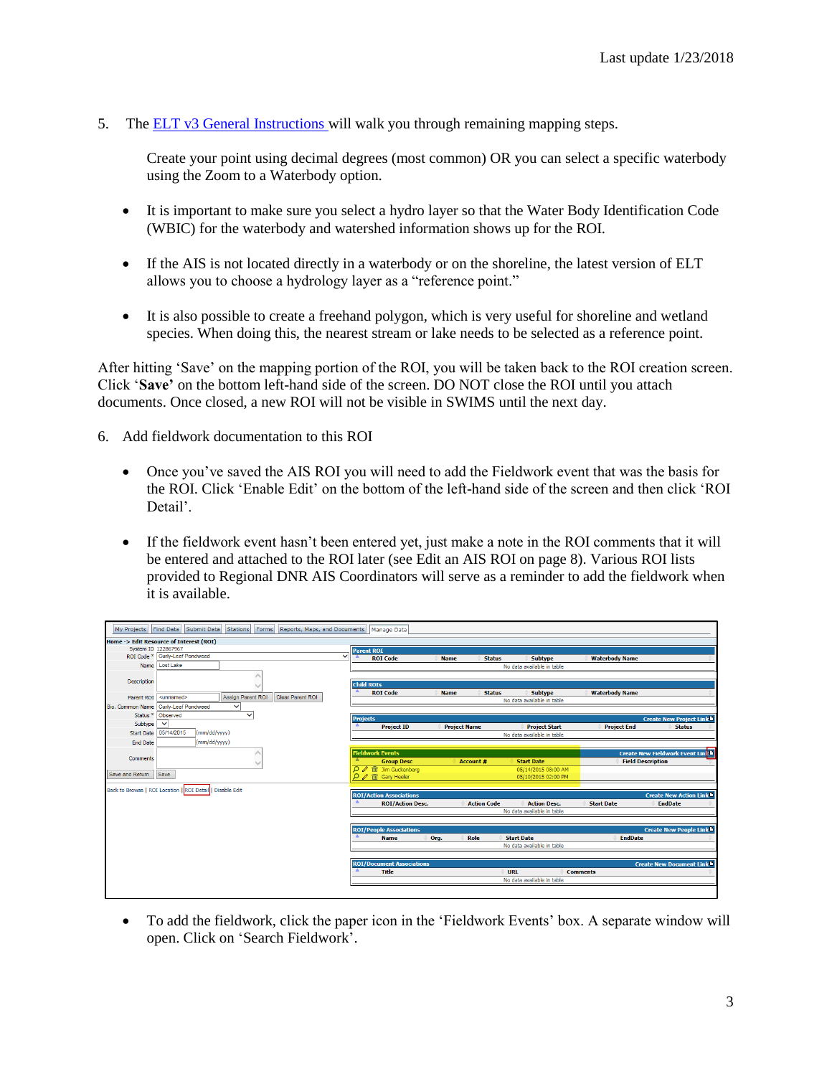5. The [ELT v3 General Instructions](https://prodoasint.dnr.wi.gov/swims/downloadDocument.do?id=150696608) will walk you through remaining mapping steps.

Create your point using decimal degrees (most common) OR you can select a specific waterbody using the Zoom to a Waterbody option.

- It is important to make sure you select a hydro layer so that the Water Body Identification Code (WBIC) for the waterbody and watershed information shows up for the ROI.
- If the AIS is not located directly in a waterbody or on the shoreline, the latest version of ELT allows you to choose a hydrology layer as a "reference point."
- It is also possible to create a freehand polygon, which is very useful for shoreline and wetland species. When doing this, the nearest stream or lake needs to be selected as a reference point.

After hitting 'Save' on the mapping portion of the ROI, you will be taken back to the ROI creation screen. Click '**Save'** on the bottom left-hand side of the screen. DO NOT close the ROI until you attach documents. Once closed, a new ROI will not be visible in SWIMS until the next day.

- 6. Add fieldwork documentation to this ROI
	- Once you've saved the AIS ROI you will need to add the Fieldwork event that was the basis for the ROI. Click 'Enable Edit' on the bottom of the left-hand side of the screen and then click 'ROI Detail'.
	- If the fieldwork event hasn't been entered yet, just make a note in the ROI comments that it will be entered and attached to the ROI later (see Edit an AIS ROI on page 8). Various ROI lists provided to Regional DNR AIS Coordinators will serve as a reminder to add the fieldwork when it is available.

|                     | My Projects Find Data Submit Data                         |                          | Stations Forms Reports, Maps, and Documents Manage Data |              |                                                    |             |                     |                            |                 |                          |                                         |
|---------------------|-----------------------------------------------------------|--------------------------|---------------------------------------------------------|--------------|----------------------------------------------------|-------------|---------------------|----------------------------|-----------------|--------------------------|-----------------------------------------|
|                     | Home -> Edit Resource of Interest (ROI)                   |                          |                                                         |              |                                                    |             |                     |                            |                 |                          |                                         |
|                     | System ID 122867967                                       |                          |                                                         |              | <b>Parent ROI</b>                                  |             |                     |                            |                 |                          |                                         |
|                     | ROI Code * Curly-Leaf Pondweed                            |                          |                                                         | $\checkmark$ | <b>ROI Code</b>                                    | <b>Name</b> | <b>Status</b>       | <b>Subtype</b>             |                 | <b>Waterbody Name</b>    |                                         |
|                     | Name Lost Lake                                            |                          |                                                         |              |                                                    |             |                     | No data available in table |                 |                          |                                         |
|                     |                                                           |                          |                                                         |              |                                                    |             |                     |                            |                 |                          |                                         |
| Description         |                                                           |                          |                                                         |              | <b>Child ROIs</b>                                  |             |                     |                            |                 |                          |                                         |
|                     |                                                           |                          |                                                         |              | <b>ROI</b> Code                                    | <b>Name</b> | <b>Status</b>       | <b>Subtype</b>             |                 | <b>Waterbody Name</b>    |                                         |
| <b>Parent ROI</b>   | <unnamed></unnamed>                                       | <b>Assign Parent ROI</b> | Clear Parent ROI                                        |              |                                                    |             |                     | No data available in table |                 |                          |                                         |
| Bio, Common Name    | Curly-Leaf Pondweed                                       | $\checkmark$             |                                                         |              |                                                    |             |                     |                            |                 |                          |                                         |
| Status <sup>*</sup> | Observed                                                  | $\checkmark$             |                                                         |              | <b>Projects</b>                                    |             |                     |                            |                 |                          | <b>Create New Project Link h</b>        |
| Subtvpe             | $\checkmark$                                              |                          |                                                         |              | <b>Project ID</b>                                  |             | <b>Project Name</b> | <b>Project Start</b>       |                 | <b>Project End</b>       | <b>Status</b>                           |
| <b>Start Date</b>   | 05/14/2015<br>(mm/dd/yyyy)                                |                          |                                                         |              |                                                    |             |                     | No data available in table |                 |                          |                                         |
| <b>End Date</b>     | (mm/dd/yyyy)                                              |                          |                                                         |              |                                                    |             |                     |                            |                 |                          |                                         |
|                     |                                                           |                          |                                                         |              | <b>Fieldwork Events</b>                            |             |                     |                            |                 |                          | <b>Create New Fieldwork Event Links</b> |
| Comments            |                                                           |                          |                                                         |              | <b>Group Desc</b>                                  |             | Account #           | <b>Start Date</b>          |                 | <b>Field Description</b> |                                         |
|                     |                                                           |                          |                                                         |              | <b>/</b> □ Jim Guckenberg                          |             |                     | 05/14/2015 08:00 AM        |                 |                          |                                         |
| Save and Return     | Save                                                      |                          |                                                         |              | $\rho \nearrow \widehat{\mathfrak{m}}$ Gary Heeler |             |                     | 05/10/2015 02:00 PM        |                 |                          |                                         |
|                     |                                                           |                          |                                                         |              |                                                    |             |                     |                            |                 |                          |                                         |
|                     | Back to Browse   ROI Location   ROI Detail   Disable Edit |                          |                                                         |              | <b>ROI/Action Associations</b>                     |             |                     |                            |                 |                          | <b>Create New Action Link b</b>         |
|                     |                                                           |                          |                                                         |              | <b>ROI/Action Desc.</b>                            |             | <b>Action Code</b>  | <b>Action Desc.</b>        |                 | <b>Start Date</b>        | <b>EndDate</b>                          |
|                     |                                                           |                          |                                                         |              |                                                    |             |                     | No data available in table |                 |                          |                                         |
|                     |                                                           |                          |                                                         |              |                                                    |             |                     |                            |                 |                          |                                         |
|                     |                                                           |                          |                                                         |              | <b>ROI/People Associations</b>                     |             |                     |                            |                 |                          | <b>Create New People Link</b>           |
|                     |                                                           |                          |                                                         |              | <b>Name</b>                                        | Org.        | Role                | <b>Start Date</b>          |                 | <b>EndDate</b>           |                                         |
|                     |                                                           |                          |                                                         |              |                                                    |             |                     | No data available in table |                 |                          |                                         |
|                     |                                                           |                          |                                                         |              |                                                    |             |                     |                            |                 |                          |                                         |
|                     |                                                           |                          |                                                         |              | <b>ROI/Document Associations</b>                   |             |                     |                            |                 |                          | <b>Create New Document Link h</b>       |
|                     |                                                           |                          |                                                         |              | <b>Title</b>                                       |             |                     | <b>URL</b>                 | <b>Comments</b> |                          |                                         |
|                     |                                                           |                          |                                                         |              |                                                    |             |                     | No data available in table |                 |                          |                                         |
|                     |                                                           |                          |                                                         |              |                                                    |             |                     |                            |                 |                          |                                         |

• To add the fieldwork, click the paper icon in the 'Fieldwork Events' box. A separate window will open. Click on 'Search Fieldwork'.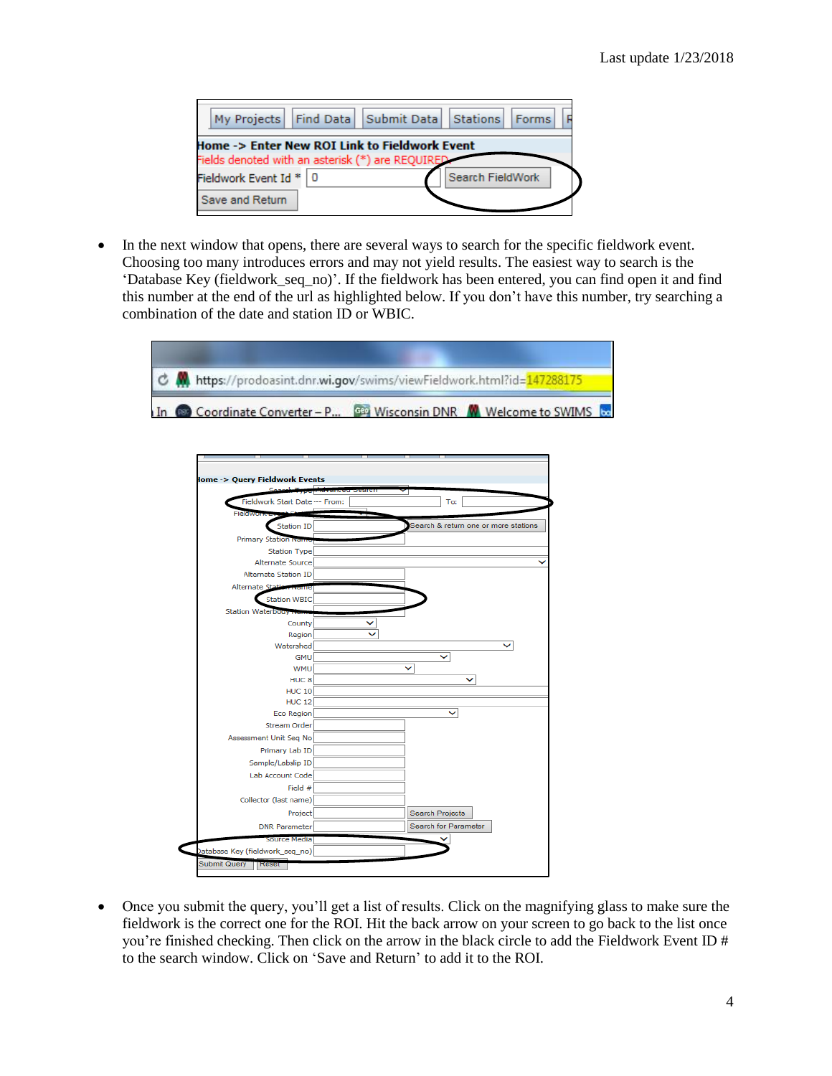|                          | My Projects   Find Data   Submit Data   Stations   Forms                                          |                         |  |
|--------------------------|---------------------------------------------------------------------------------------------------|-------------------------|--|
|                          | Home -> Enter New ROI Link to Fieldwork Event<br>Fields denoted with an asterisk (*) are REQUIRED |                         |  |
| Fieldwork Event Id *   0 |                                                                                                   | <b>Search FieldWork</b> |  |
| <b>Save and Return</b>   |                                                                                                   |                         |  |

• In the next window that opens, there are several ways to search for the specific fieldwork event. Choosing too many introduces errors and may not yield results. The easiest way to search is the 'Database Key (fieldwork\_seq\_no)'. If the fieldwork has been entered, you can find open it and find this number at the end of the url as highlighted below. If you don't have this number, try searching a combination of the date and station ID or WBIC.





• Once you submit the query, you'll get a list of results. Click on the magnifying glass to make sure the fieldwork is the correct one for the ROI. Hit the back arrow on your screen to go back to the list once you're finished checking. Then click on the arrow in the black circle to add the Fieldwork Event ID # to the search window. Click on 'Save and Return' to add it to the ROI.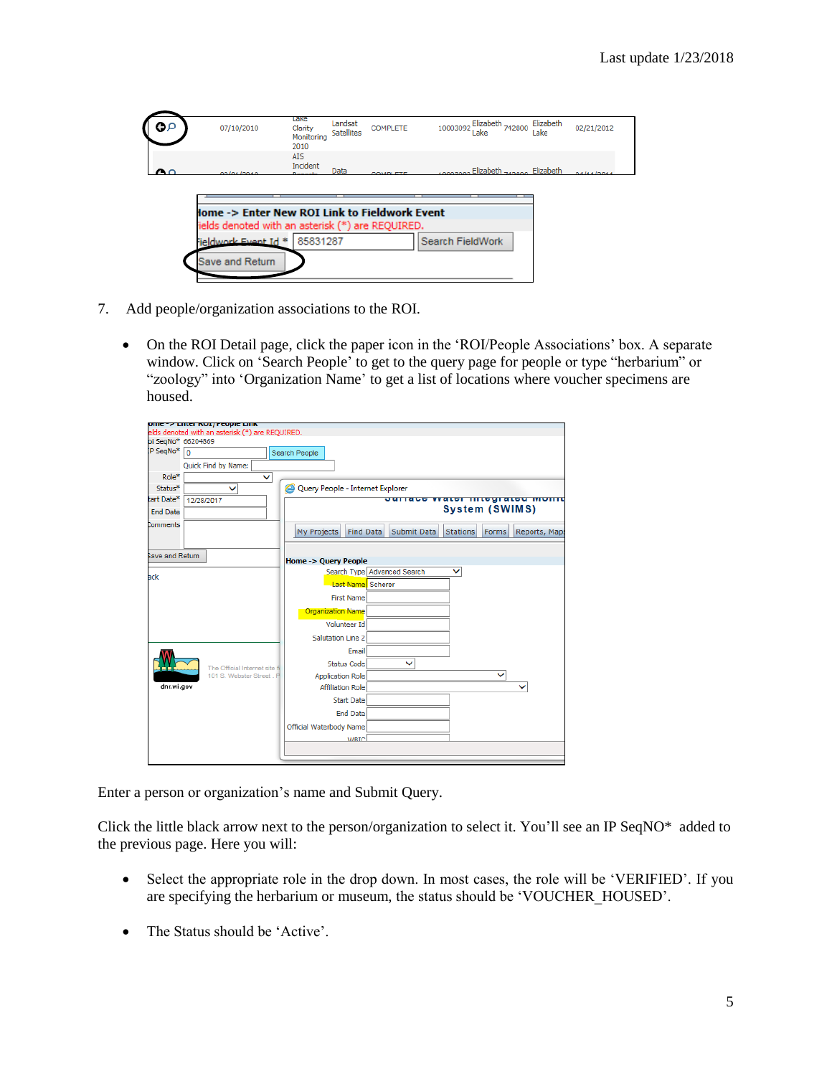| o۵<br>07/10/2010 |                               | гаке<br>Clarity<br>Monitoring<br>2010 | Landsat<br>Satellites | <b>COMPLETE</b>                                         | 10003092         | Elizabeth 742800<br>Lake            | Elizabeth<br>Lake | 02/21/2012  |
|------------------|-------------------------------|---------------------------------------|-----------------------|---------------------------------------------------------|------------------|-------------------------------------|-------------------|-------------|
| ີ                | on Ins Innin                  | ATS.<br>Incident<br><b>Danasi</b>     | Data                  | COMPLETE                                                |                  | 10002000 Elizabeth 240000 Elizabeth |                   | 0.411112011 |
|                  |                               |                                       |                       |                                                         |                  |                                     |                   |             |
|                  |                               |                                       |                       |                                                         |                  |                                     |                   |             |
|                  |                               |                                       |                       | <b>Jome -&gt; Enter New ROI Link to Fieldwork Event</b> |                  |                                     |                   |             |
|                  | Fieldwork Event Id * 85831287 |                                       |                       | ields denoted with an asterisk (*) are REQUIRED.        | Search FieldWork |                                     |                   |             |

- 7. Add people/organization associations to the ROI.
	- On the ROI Detail page, click the paper icon in the 'ROI/People Associations' box. A separate window. Click on 'Search People' to get to the query page for people or type "herbarium" or "zoology" into 'Organization Name' to get a list of locations where voucher specimens are housed.

|                    | ome "> Emer KOT/Feople EmK                      |                                  |                                       |                 |              |               |
|--------------------|-------------------------------------------------|----------------------------------|---------------------------------------|-----------------|--------------|---------------|
|                    | elds denoted with an asterisk (*) are REQUIRED. |                                  |                                       |                 |              |               |
| pi SeqNo* 66204869 |                                                 |                                  |                                       |                 |              |               |
| P SeqNo*           | $\overline{0}$                                  | Search People                    |                                       |                 |              |               |
|                    | Quick Find by Name:                             |                                  |                                       |                 |              |               |
| Role*              | v                                               |                                  |                                       |                 |              |               |
| Status*            | ◡                                               | Query People - Internet Explorer |                                       |                 |              |               |
| tart Date*         | 12/28/2017                                      |                                  | <b>JULIALE WALET HILEYFALEU MUTHE</b> |                 |              |               |
| <b>End Date</b>    |                                                 |                                  |                                       | System (SWIMS)  |              |               |
| Comments           |                                                 | <b>Find Data</b><br>My Projects  | Submit Data                           | <b>Stations</b> | <b>Forms</b> | Reports, Maps |
|                    |                                                 |                                  |                                       |                 |              |               |
| ave and Return     |                                                 | <b>Home -&gt; Query People</b>   |                                       |                 |              |               |
|                    |                                                 |                                  | Search Type Advanced Search           | v               |              |               |
| ack                |                                                 | Last Name Scherer                |                                       |                 |              |               |
|                    |                                                 | <b>First Name</b>                |                                       |                 |              |               |
|                    |                                                 | <b>Organization Name</b>         |                                       |                 |              |               |
|                    |                                                 | <b>Volunteer Id</b>              |                                       |                 |              |               |
|                    |                                                 | Salutation Line 2                |                                       |                 |              |               |
|                    |                                                 | Email                            |                                       |                 |              |               |
|                    | The Official Internet site f                    | <b>Status Code</b>               |                                       |                 |              |               |
|                    | 101 S. Webster Street, F                        | <b>Application Role</b>          |                                       |                 |              |               |
| dnr.wi.gov         |                                                 | <b>Affiliation Role</b>          |                                       |                 |              |               |
|                    |                                                 | <b>Start Date</b>                |                                       |                 |              |               |
|                    |                                                 | <b>End Date</b>                  |                                       |                 |              |               |
|                    |                                                 | Official Waterbody Name          |                                       |                 |              |               |
|                    |                                                 | <b>MRIC</b>                      |                                       |                 |              |               |
|                    |                                                 |                                  |                                       |                 |              |               |
|                    |                                                 |                                  |                                       |                 |              |               |

Enter a person or organization's name and Submit Query.

Click the little black arrow next to the person/organization to select it. You'll see an IP SeqNO\* added to the previous page. Here you will:

- Select the appropriate role in the drop down. In most cases, the role will be 'VERIFIED'. If you are specifying the herbarium or museum, the status should be 'VOUCHER\_HOUSED'.
- The Status should be 'Active'.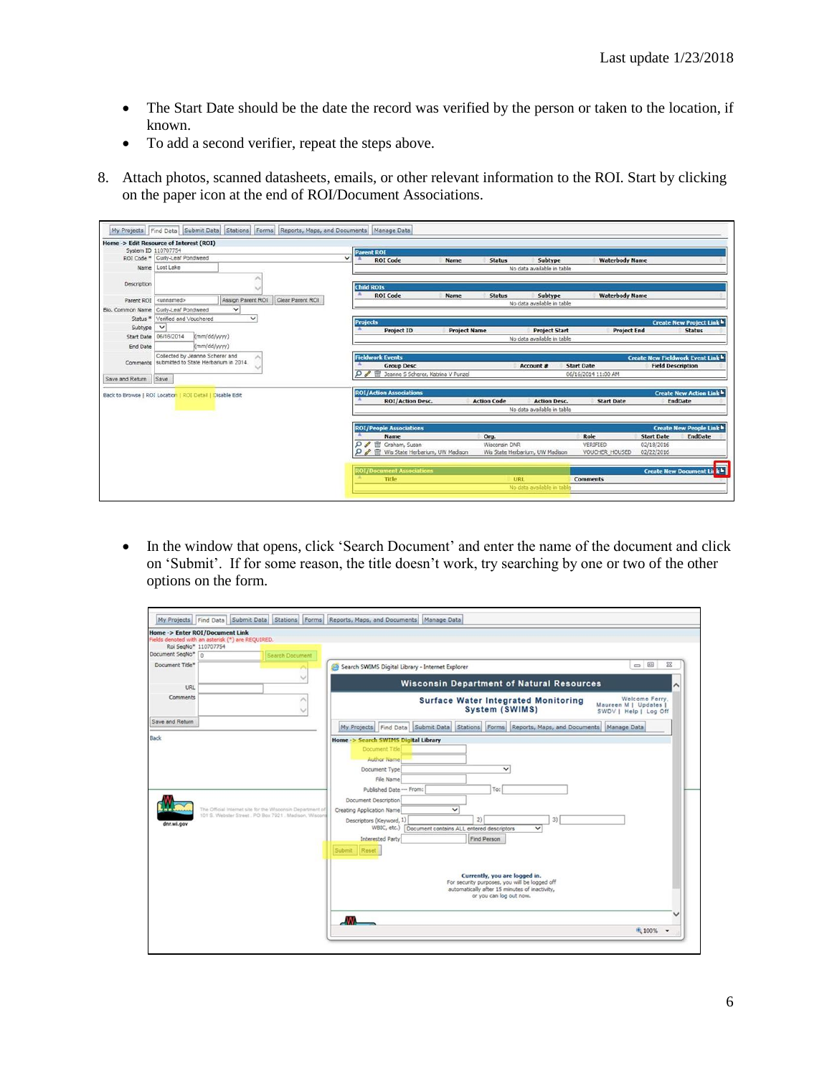- The Start Date should be the date the record was verified by the person or taken to the location, if known.
- To add a second verifier, repeat the steps above.
- 8. Attach photos, scanned datasheets, emails, or other relevant information to the ROI. Start by clicking on the paper icon at the end of ROI/Document Associations.

|                   | Home -> Edit Resource of Interest (ROI)                   |                   |                  |              |                                                                      |                     |                       |                                       |                            |                          |                                                   |
|-------------------|-----------------------------------------------------------|-------------------|------------------|--------------|----------------------------------------------------------------------|---------------------|-----------------------|---------------------------------------|----------------------------|--------------------------|---------------------------------------------------|
|                   | System ID 110707754<br>ROI Code * Curly-Leaf Pondweed     |                   |                  | $\checkmark$ | <b>Parent ROI</b>                                                    |                     |                       |                                       |                            |                          |                                                   |
|                   | Name Lost Lake                                            |                   |                  |              | <b>ROI</b> Code                                                      | <b>Name</b>         | <b>Status</b>         | Subtype                               | <b>Waterbody Name</b>      |                          |                                                   |
|                   |                                                           |                   |                  |              |                                                                      |                     |                       | No data available in table            |                            |                          |                                                   |
| Description       |                                                           |                   |                  |              | <b>Child ROIs</b>                                                    |                     |                       |                                       |                            |                          |                                                   |
| Parent ROI        | <unnamed></unnamed>                                       | Assign Parent ROI | Clear Parent ROI |              | <b>ROI</b> Code                                                      | Name                | <b>Status</b>         | Subtype<br>No data available in table | <b>Waterbody Name</b>      |                          |                                                   |
| Bio, Common Name  | Curly-Leaf Pondweed                                       | $\checkmark$      |                  |              |                                                                      |                     |                       |                                       |                            |                          |                                                   |
| Status *          | Verified and Vouchered                                    | $\checkmark$      |                  |              | <b>Projects</b>                                                      |                     |                       |                                       |                            |                          |                                                   |
| Subtype           | $\check{ }$                                               |                   |                  |              | <b>Project ID</b>                                                    | <b>Project Name</b> |                       | <b>Project Start</b>                  | <b>Project End</b>         |                          | <b>Create New Project Link h</b><br><b>Status</b> |
| <b>Start Date</b> | 06/16/2014<br>(mm/dd/yyyy)                                |                   |                  |              |                                                                      |                     |                       | No data available in table            |                            |                          |                                                   |
| End Date          | (mm/dd/yyyy)                                              |                   |                  |              |                                                                      |                     |                       |                                       |                            |                          |                                                   |
|                   | Collected by Jeanne Scherer and                           |                   |                  |              | <b>Fieldwork Events</b>                                              |                     |                       |                                       |                            |                          | <b>Create New Fieldwork Event Link h</b>          |
|                   | Comments submitted to State Herbarium in 2014.            |                   |                  |              | <b>Group Desc</b>                                                    |                     |                       | Account #                             | <b>Start Date</b>          | <b>Field Description</b> |                                                   |
| Save and Return   | Save                                                      |                   |                  |              | Jeanne S Scherer, Katrina V Punzel                                   |                     |                       |                                       | 06/16/2014 11:00 AM        |                          |                                                   |
|                   |                                                           |                   |                  |              |                                                                      |                     |                       |                                       |                            |                          |                                                   |
|                   | Back to Browse   ROI Location   ROI Detail   Disable Edit |                   |                  |              | <b>ROI/Action Associations</b>                                       |                     |                       |                                       |                            |                          | <b>Create New Action Link h</b>                   |
|                   |                                                           |                   |                  |              | <b>ROI/Action Desc.</b>                                              |                     | <b>Action Code</b>    | <b>Action Desc.</b>                   | <b>Start Date</b>          |                          | <b>EndDate</b>                                    |
|                   |                                                           |                   |                  |              |                                                                      |                     |                       | No data available in table            |                            |                          |                                                   |
|                   |                                                           |                   |                  |              |                                                                      |                     |                       |                                       |                            |                          |                                                   |
|                   |                                                           |                   |                  |              |                                                                      |                     |                       |                                       |                            |                          |                                                   |
|                   |                                                           |                   |                  |              | <b>ROI/People Associations</b><br><b>Name</b>                        |                     |                       |                                       | Role                       | <b>Start Date</b>        | <b>EndDate</b>                                    |
|                   |                                                           |                   |                  | Ω            | P <sup>T</sup> Graham, Susan<br>ffil Wis State Herbarium, UW Madison |                     | Org.<br>Wisconsin DNR | Wis State Herbarium, UW Madison       | VERIFIED<br>VOUCHER HOUSED | 02/18/2016<br>02/22/2016 | <b>Create New People Link h</b>                   |
|                   |                                                           |                   |                  |              |                                                                      |                     |                       |                                       |                            |                          |                                                   |
|                   |                                                           |                   |                  |              | <b>ROT/Document Associations</b>                                     |                     |                       |                                       |                            |                          | <b>Create New Document Link h</b>                 |

• In the window that opens, click 'Search Document' and enter the name of the document and click on 'Submit'. If for some reason, the title doesn't work, try searching by one or two of the other options on the form.

| Roi SegNo* 110707754 | <b>Home -&gt; Enter ROI/Document Link</b><br>Fields denoted with an asterisk (*) are REQUIRED.                    |                                                                                                                                                                                                                                                                                                                                                                                                                                                                                                                                   |
|----------------------|-------------------------------------------------------------------------------------------------------------------|-----------------------------------------------------------------------------------------------------------------------------------------------------------------------------------------------------------------------------------------------------------------------------------------------------------------------------------------------------------------------------------------------------------------------------------------------------------------------------------------------------------------------------------|
| Document SeqNo* 0    | <b>Search Document</b>                                                                                            |                                                                                                                                                                                                                                                                                                                                                                                                                                                                                                                                   |
| Document Title*      |                                                                                                                   | $\Box$ $\Box$<br>$\Sigma$<br>Search SWIMS Digital Library - Internet Explorer                                                                                                                                                                                                                                                                                                                                                                                                                                                     |
| URL                  |                                                                                                                   | <b>Wisconsin Department of Natural Resources</b>                                                                                                                                                                                                                                                                                                                                                                                                                                                                                  |
| Comments             |                                                                                                                   | Welcome Ferry.<br><b>Surface Water Integrated Monitoring</b><br>Maureen M   Updates  <br>System (SWIMS)<br>SWDV   Help   Log Off                                                                                                                                                                                                                                                                                                                                                                                                  |
| Save and Return      |                                                                                                                   | My Projects Find Data Submit Data Stations Forms Reports, Maps, and Documents Manage Data                                                                                                                                                                                                                                                                                                                                                                                                                                         |
| dnr.wi.gov           | The Official Internet site for the Wisconsin Department of<br>101 S. Webster Street. PO Box 7921. Madison. Wiscon | Document Title<br>Author Name<br>$\checkmark$<br>Document Type<br>File Name<br>Published Date --- From:<br>To:<br>Document Description<br>$\checkmark$<br>Creating Application Name<br>2)<br>3)<br>Descriptors (Keyword, 1)<br>WBIC, etc.)<br>Document contains ALL entered descriptors<br>$\check{ }$<br><b>Interested Party</b><br>Find Person<br>Reset<br>Submit<br>Currently, you are logged in.<br>For security purposes, you will be logged off<br>automatically after 15 minutes of inactivity,<br>or you can log out now. |
|                      |                                                                                                                   | .WL<br>● 100% ▼                                                                                                                                                                                                                                                                                                                                                                                                                                                                                                                   |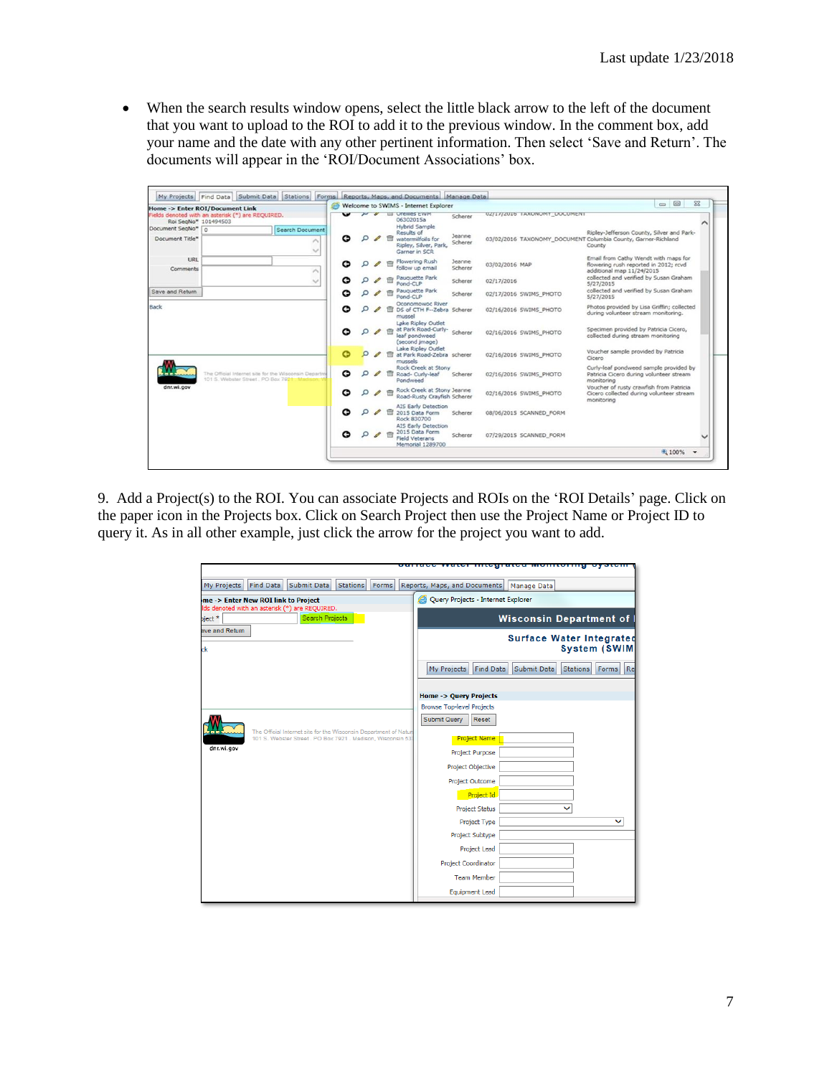• When the search results window opens, select the little black arrow to the left of the document that you want to upload to the ROI to add it to the previous window. In the comment box, add your name and the date with any other pertinent information. Then select 'Save and Return'. The documents will appear in the 'ROI/Document Associations' box.

|                                      |                                                                                                |                                        |                          |  | Welcome to SWIMS - Internet Explorer                                                              |                   |                                                               | $\Box$ $\Box$<br>$\Sigma$                                                                                  |  |
|--------------------------------------|------------------------------------------------------------------------------------------------|----------------------------------------|--------------------------|--|---------------------------------------------------------------------------------------------------|-------------------|---------------------------------------------------------------|------------------------------------------------------------------------------------------------------------|--|
| Roi SegNo* 101494503                 | <b>Home -&gt; Enter ROI/Document Link</b><br>Fields denoted with an asterisk (*) are REQUIRED. |                                        | $\overline{\phantom{a}}$ |  | <b>N &amp; III Orellies EWM</b><br>06302015a                                                      | Scherer           | UZ/17/2U16 TAXONOMY DOCUMENT                                  |                                                                                                            |  |
| Document SegNo* n<br>Document Title* |                                                                                                | <b>Search Document</b><br>$\checkmark$ | c                        |  | <b>Hybrid Sample</b><br>Results of<br>watermilfoils for<br>Ripley, Silver, Park,<br>Garner in SCR | Jeanne<br>Scherer | 03/02/2016 TAXONOMY DOCUMENT Columbia County, Garner-Richland | Ripley-Jefferson County, Silver and Park-<br>County                                                        |  |
| URL<br>Comments                      |                                                                                                |                                        | c                        |  | Flowering Rush<br>follow up email                                                                 | Jeanne<br>Scherer | 03/02/2016 MAP                                                | Email from Cathy Wendt with maps for<br>flowering rush reported in 2012; royd<br>additional map 11/24/2015 |  |
|                                      |                                                                                                | $\sim$                                 | Ω                        |  | Pauguette Park<br>Pond-CLP                                                                        | Scherer           | 02/17/2016                                                    | collected and verified by Susan Graham<br>5/27/2015                                                        |  |
| Save and Return                      |                                                                                                |                                        | o                        |  | Pauguette Park<br>Pond-CLP                                                                        | Scherer           | 02/17/2016 SWIMS PHOTO                                        | collected and verified by Susan Graham<br>5/27/2015                                                        |  |
| Back                                 |                                                                                                |                                        | ໐                        |  | Oconomowoc River<br>DS of CTH F--Zebra Scherer<br>mussell                                         |                   | 02/16/2016 SWIMS PHOTO                                        | Photos provided by Lisa Griffin; collected<br>during volunteer stream monitoring.                          |  |
|                                      |                                                                                                |                                        | c                        |  | Lake Ripley Outlet<br>at Park Road-Curly-<br>leaf pondweed<br>(second jmage)                      | Scherer           | 02/16/2016 SWIMS PHOTO                                        | Specimen provided by Patricia Cicero,<br>collected during stream monitoring                                |  |
|                                      |                                                                                                |                                        | G                        |  | Lake Ripley Outlet<br>at Park Road-Zebra scherer<br>mussels                                       |                   | 02/16/2016 SWIMS PHOTO                                        | Voucher sample provided by Patricia<br>Cicero                                                              |  |
| <b>CLEANANA</b>                      | The Official Internet site for the Wisconsin Departm<br>101 S. Webster Street, PO Box 7921 Map |                                        | c                        |  | Rock Creek at Stony<br>Road- Curly-leaf<br>Pondweed                                               | Scherer           | 02/16/2016 SWIMS PHOTO                                        | Curly-leaf pondweed sample provided by<br>Patricia Cicero during volunteer stream<br>monitoring            |  |
| dnr.wi.gov                           |                                                                                                |                                        | O                        |  | Rock Creek at Stony Jeanne<br>Road-Rusty Crayfish Scherer                                         |                   | 02/16/2016 SWIMS PHOTO                                        | Voucher of rusty crawfish from Patricia<br>Cicero collected during volunteer stream<br>monitoring          |  |
|                                      |                                                                                                |                                        | ℮                        |  | AIS Early Detection<br>2015 Data Form<br>Rock 830700<br><b>AIS Early Detection</b>                | Scherer           | 08/06/2015 SCANNED FORM                                       |                                                                                                            |  |
|                                      |                                                                                                |                                        | c                        |  | 2015 Data Form<br><b>Field Veterans</b><br>Memorial 1289700                                       | Scherer           | 07/29/2015 SCANNED FORM                                       |                                                                                                            |  |
|                                      |                                                                                                |                                        |                          |  |                                                                                                   |                   |                                                               | ● 100%<br>$\overline{\phantom{0}}$                                                                         |  |

9. Add a Project(s) to the ROI. You can associate Projects and ROIs on the 'ROI Details' page. Click on the paper icon in the Projects box. Click on Search Project then use the Project Name or Project ID to query it. As in all other example, just click the arrow for the project you want to add.

|                                                                                                                                   | <u>ourrace water mitegrated monitoring oystem.</u>                                      |
|-----------------------------------------------------------------------------------------------------------------------------------|-----------------------------------------------------------------------------------------|
| Find Data<br>Submit Data<br><b>Stations</b><br>Forms<br>My Projects                                                               | Reports, Maps, and Documents<br>Manage Data                                             |
| me -> Enter New ROI link to Project                                                                                               | Query Projects - Internet Explorer                                                      |
| lds denoted with an asterisk (*) are REQUIRED.<br><b>Search Projects</b><br>$\gamma$ ject $*$                                     | Wisconsin Department of                                                                 |
| ave and Return<br>ck                                                                                                              | <b>Surface Water Integrated</b><br><b>System (SWIM</b>                                  |
|                                                                                                                                   | <b>Submit Data</b><br>My Projects<br><b>Find Data</b><br>Re<br><b>Stations</b><br>Forms |
|                                                                                                                                   | <b>Home -&gt; Query Projects</b>                                                        |
|                                                                                                                                   | <b>Browse Top-level Projects</b>                                                        |
|                                                                                                                                   | <b>Submit Query</b><br>Reset                                                            |
| The Official Internet site for the Wisconsin Department of Nature<br>101 S. Webster Street . PO Box 7921 . Madison, Wisconsin 531 | <b>Project Name</b>                                                                     |
| dnr.wi.gov                                                                                                                        | Project Purpose                                                                         |
|                                                                                                                                   | <b>Project Objective</b>                                                                |
|                                                                                                                                   | <b>Project Outcome</b>                                                                  |
|                                                                                                                                   | Project Id                                                                              |
|                                                                                                                                   | <b>Project Status</b>                                                                   |
|                                                                                                                                   | Project Type<br>◡                                                                       |
|                                                                                                                                   | Project Subtype                                                                         |
|                                                                                                                                   | Project Lead                                                                            |
|                                                                                                                                   | <b>Project Coordinator</b>                                                              |
|                                                                                                                                   | <b>Team Member</b>                                                                      |
|                                                                                                                                   | <b>Equipment Lead</b>                                                                   |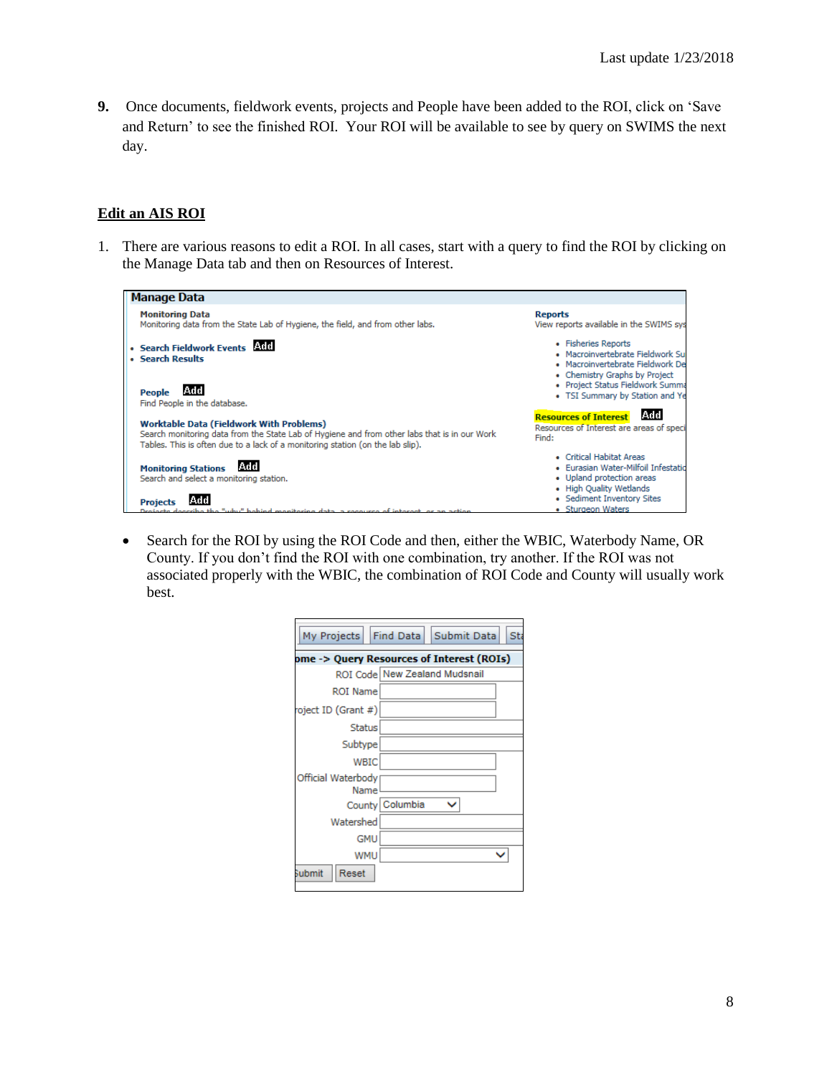**9.** Once documents, fieldwork events, projects and People have been added to the ROI, click on 'Save and Return' to see the finished ROI. Your ROI will be available to see by query on SWIMS the next day.

## **Edit an AIS ROI**

1. There are various reasons to edit a ROI. In all cases, start with a query to find the ROI by clicking on the Manage Data tab and then on Resources of Interest.

| <b>Manage Data</b>                                                                                                                                                                                                                |                                                                                                                              |
|-----------------------------------------------------------------------------------------------------------------------------------------------------------------------------------------------------------------------------------|------------------------------------------------------------------------------------------------------------------------------|
| <b>Monitoring Data</b><br>Monitoring data from the State Lab of Hygiene, the field, and from other labs.                                                                                                                          | <b>Reports</b><br>View reports available in the SWIMS sys                                                                    |
| · Search Fieldwork Events<br>• Search Results                                                                                                                                                                                     | • Fisheries Reports<br>· Macroinvertebrate Fieldwork Su<br>• Macroinvertebrate Fieldwork De<br>• Chemistry Graphs by Project |
| lAdd<br>People<br>Find People in the database.                                                                                                                                                                                    | · Project Status Fieldwork Summa<br>• TSI Summary by Station and Ye                                                          |
| <b>Worktable Data (Fieldwork With Problems)</b><br>Search monitoring data from the State Lab of Hygiene and from other labs that is in our Work<br>Tables. This is often due to a lack of a monitoring station (on the lab slip). | <b>Resources of Interest</b><br>IAdd I<br>Resources of Interest are areas of speci<br>Find:                                  |
| IAdd<br><b>Monitoring Stations</b><br>Search and select a monitoring station.                                                                                                                                                     | • Critical Habitat Areas<br>· Eurasian Water-Milfoil Infestatio<br>• Upland protection areas<br>• High Quality Wetlands      |
| <b>Projects</b><br>"why." behind monitoring data, a convictor of interest, or an action                                                                                                                                           | • Sediment Inventory Sites<br>• Sturgeon Waters                                                                              |

• Search for the ROI by using the ROI Code and then, either the WBIC, Waterbody Name, OR County. If you don't find the ROI with one combination, try another. If the ROI was not associated properly with the WBIC, the combination of ROI Code and County will usually work best.

| My Projects   Find Data   Submit Data     |                 |                               | Sta |  |  |  |  |
|-------------------------------------------|-----------------|-------------------------------|-----|--|--|--|--|
| ome -> Query Resources of Interest (ROIs) |                 |                               |     |  |  |  |  |
|                                           |                 | ROI Code New Zealand Mudsnail |     |  |  |  |  |
| <b>ROI Name</b>                           |                 |                               |     |  |  |  |  |
| roject ID (Grant #)                       |                 |                               |     |  |  |  |  |
| <b>Status</b>                             |                 |                               |     |  |  |  |  |
| Subtype                                   |                 |                               |     |  |  |  |  |
| <b>WBIC</b>                               |                 |                               |     |  |  |  |  |
| Official Waterbody<br>Name                |                 |                               |     |  |  |  |  |
|                                           | County Columbia |                               |     |  |  |  |  |
| Watershed                                 |                 |                               |     |  |  |  |  |
| <b>GMU</b>                                |                 |                               |     |  |  |  |  |
| <b>WMU</b>                                |                 |                               |     |  |  |  |  |
| <b>Submit</b><br>Reset                    |                 |                               |     |  |  |  |  |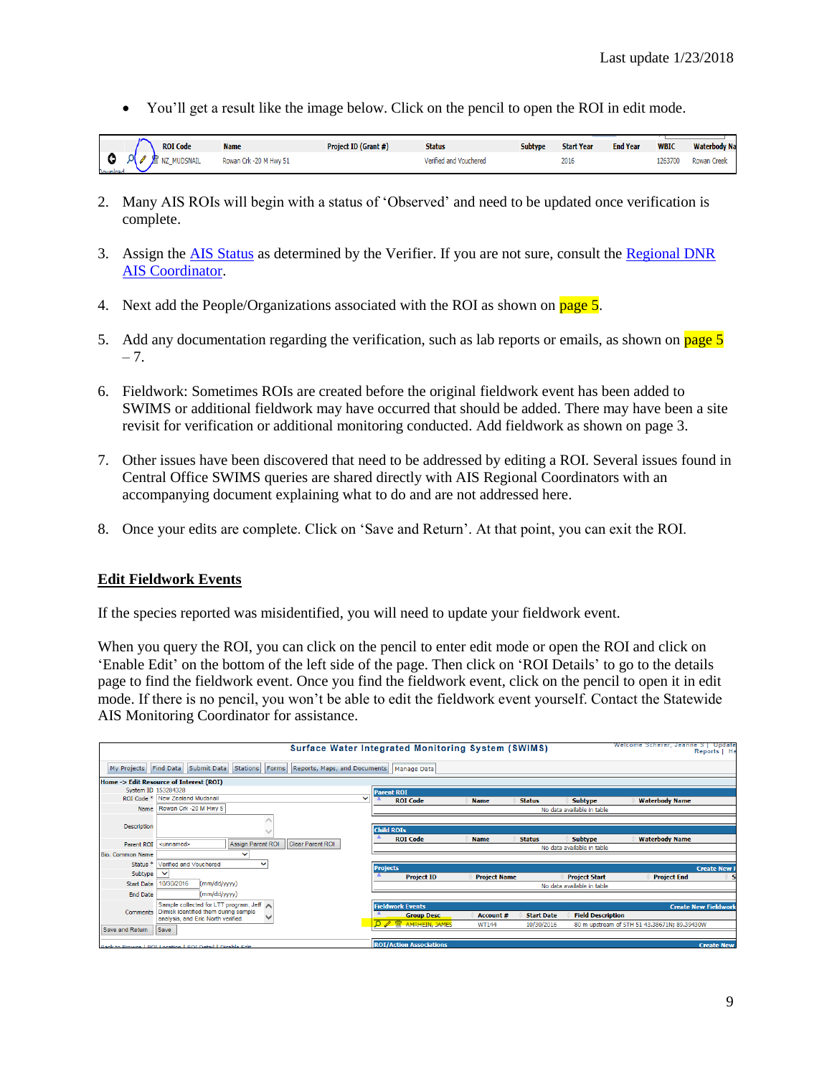• You'll get a result like the image below. Click on the pencil to open the ROI in edit mode.

|                                |     | <b>ROI Code</b>        | <b>Name</b>            | Project ID (Grant #) | <b>Status</b>          | <b>Subtype</b> | <b>Start Year</b> | <b>End Year</b> | <b>WBIC</b> | <b>Waterbody Na</b> |
|--------------------------------|-----|------------------------|------------------------|----------------------|------------------------|----------------|-------------------|-----------------|-------------|---------------------|
| <b><i><u>Desiminad</u></i></b> | A N | <b>THE NZ MUDSNAIL</b> | Rowan Crk -20 M Hwy 51 |                      | Verified and Vouchered |                | 2016              |                 | 1263700     | <b>Rowan Creek</b>  |

- 2. Many AIS ROIs will begin with a status of 'Observed' and need to be updated once verification is complete.
- 3. Assign the [AIS Status](https://dnrx.wisconsin.gov/swims/downloadDocument.do?id=127413817) as determined by the Verifier. If you are not sure, consult the [Regional DNR](http://dnr.wi.gov/lakes/invasives/Contacts.aspx?role=AIS_RE_COORD)  [AIS Coordinator.](http://dnr.wi.gov/lakes/invasives/Contacts.aspx?role=AIS_RE_COORD)
- 4. Next add the People/Organizations associated with the ROI as shown on page 5.
- 5. Add any documentation regarding the verification, such as lab reports or emails, as shown on page 5  $-7.$
- 6. Fieldwork: Sometimes ROIs are created before the original fieldwork event has been added to SWIMS or additional fieldwork may have occurred that should be added. There may have been a site revisit for verification or additional monitoring conducted. Add fieldwork as shown on page 3.
- 7. Other issues have been discovered that need to be addressed by editing a ROI. Several issues found in Central Office SWIMS queries are shared directly with AIS Regional Coordinators with an accompanying document explaining what to do and are not addressed here.
- 8. Once your edits are complete. Click on 'Save and Return'. At that point, you can exit the ROI.

## **Edit Fieldwork Events**

If the species reported was misidentified, you will need to update your fieldwork event.

When you query the ROI, you can click on the pencil to enter edit mode or open the ROI and click on 'Enable Edit' on the bottom of the left side of the page. Then click on 'ROI Details' to go to the details page to find the fieldwork event. Once you find the fieldwork event, click on the pencil to open it in edit mode. If there is no pencil, you won't be able to edit the fieldwork event yourself. Contact the Statewide AIS Monitoring Coordinator for assistance.

|                         | Surface Water Integrated Monitoring System (SWIMS)                          |                            |                                                |                     |                   |                            | Welcome Scherer, Jeanne S   Update           | Reports   He        |
|-------------------------|-----------------------------------------------------------------------------|----------------------------|------------------------------------------------|---------------------|-------------------|----------------------------|----------------------------------------------|---------------------|
| My Projects Find Data   | Submit Data   Stations   Forms   Reports, Maps, and Documents   Manage Data |                            |                                                |                     |                   |                            |                                              |                     |
|                         | Home -> Edit Resource of Interest (ROI)                                     |                            |                                                |                     |                   |                            |                                              |                     |
|                         | System ID 153284328                                                         |                            | <b>Parent ROI</b>                              |                     |                   |                            |                                              |                     |
|                         | ROI Code * New Zealand Mudsnail<br>$\checkmark$                             |                            | <b>ROI Code</b>                                | <b>Name</b>         | <b>Status</b>     | <b>Subtype</b>             | <b>Waterbody Name</b>                        |                     |
|                         | Name   Rowan Crk -20 M Hwy 5                                                |                            |                                                |                     |                   | No data available in table |                                              |                     |
| Description             |                                                                             |                            | <b>Child ROIs</b>                              |                     |                   |                            |                                              |                     |
| Parent ROI              | <b>Assign Parent ROI</b><br><b>Clear Parent ROI</b><br><unnamed></unnamed>  |                            | <b>ROI Code</b>                                | <b>Name</b>         | <b>Status</b>     | <b>Subtype</b>             | <b>Waterbody Name</b>                        |                     |
| <b>Bio. Common Name</b> | $\checkmark$                                                                |                            |                                                |                     |                   | No data available in table |                                              |                     |
| Status <sup>*</sup>     | Verified and Vouchered<br>$\checkmark$                                      |                            |                                                |                     |                   |                            |                                              |                     |
| Subtype                 | $\checkmark$                                                                | <b>Projects</b>            |                                                |                     |                   |                            |                                              | <b>Create New I</b> |
|                         |                                                                             |                            | <b>Project ID</b>                              | <b>Project Name</b> |                   | <b>Project Start</b>       | <b>Project End</b>                           |                     |
| <b>Start Date</b>       | 10/30/2016<br>(mm/dd/yyyy)                                                  | No data available in table |                                                |                     |                   |                            |                                              |                     |
| <b>End Date</b>         | (mm/dd/yyyy)                                                                |                            |                                                |                     |                   |                            |                                              |                     |
|                         | Sample collected for LTT program, Jeff <a></a>                              |                            | <b>Fieldwork Events</b>                        |                     |                   |                            | <b>Create New Fieldwork</b>                  |                     |
| Comments                | Dimick identified them during sample<br>analysis, and Eric North verified.  |                            | <b>Group Desc.</b>                             | Account #           | <b>Start Date</b> | <b>Field Description</b>   |                                              |                     |
| Save and Return         | Save                                                                        |                            | <b><i><u><del></del></u></i></b> mRHEIN, JAMES | WT144               | 10/30/2016        |                            | 80 m upstream of STH 51 43.38671N; 89.39430W |                     |
|                         |                                                                             |                            |                                                |                     |                   |                            |                                              |                     |
|                         | Back to Browse   POI Location   POI Detail   Disable Edit                   |                            | <b>ROI/Action Associations</b>                 |                     |                   |                            |                                              | <b>Create New</b>   |